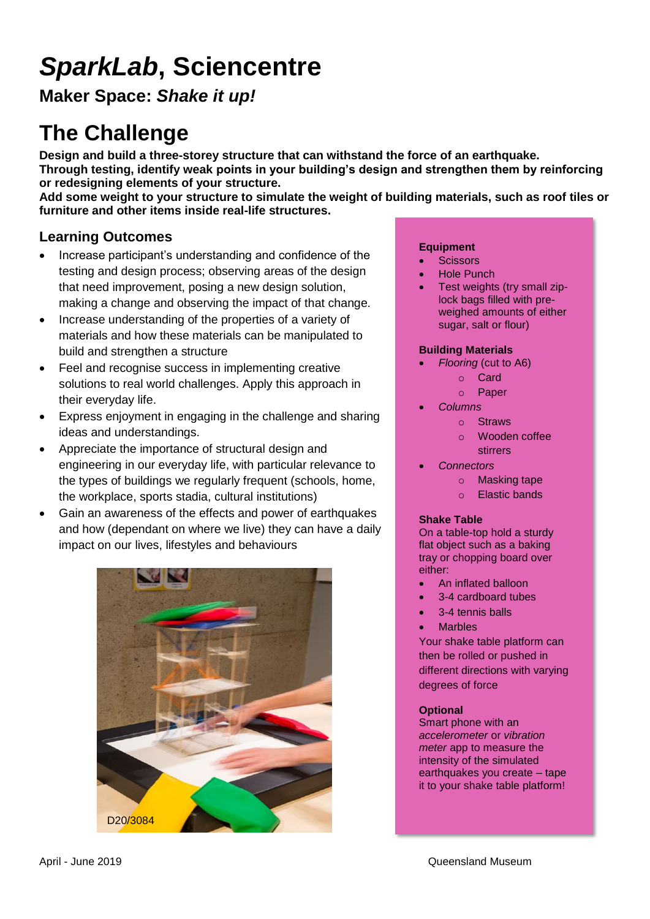# *SparkLab***, Sciencentre**

**Maker Space:** *Shake it up!*

## **The Challenge**

**Design and build a three-storey structure that can withstand the force of an earthquake. Through testing, identify weak points in your building's design and strengthen them by reinforcing or redesigning elements of your structure.** 

**Add some weight to your structure to simulate the weight of building materials, such as roof tiles or furniture and other items inside real-life structures.**

## **Learning Outcomes**

- Increase participant's understanding and confidence of the testing and design process; observing areas of the design that need improvement, posing a new design solution, making a change and observing the impact of that change.
- Increase understanding of the properties of a variety of materials and how these materials can be manipulated to build and strengthen a structure
- Feel and recognise success in implementing creative solutions to real world challenges. Apply this approach in their everyday life.
- Express enjoyment in engaging in the challenge and sharing ideas and understandings.
- Appreciate the importance of structural design and engineering in our everyday life, with particular relevance to the types of buildings we regularly frequent (schools, home, the workplace, sports stadia, cultural institutions)
- Gain an awareness of the effects and power of earthquakes and how (dependant on where we live) they can have a daily impact on our lives, lifestyles and behaviours



#### **Equipment**

- **Scissors**
- Hole Punch
- Test weights (try small ziplock bags filled with preweighed amounts of either sugar, salt or flour)

### **Building Materials**

- *Flooring* (cut to A6)
	- o Card
	- o Paper
	- *Columns*
		- o Straws
		- o Wooden coffee stirrers
- *Connectors*
	- o Masking tape
	- o Elastic bands

### **Shake Table**

On a table-top hold a sturdy flat object such as a baking tray or chopping board over either:

- An inflated balloon
- 3-4 cardboard tubes
- 3-4 tennis balls
- **Marbles**

Your shake table platform can then be rolled or pushed in different directions with varying degrees of force

### **Optional**

Smart phone with an *accelerometer* or *vibration meter* app to measure the intensity of the simulated earthquakes you create – tape it to your shake table platform!